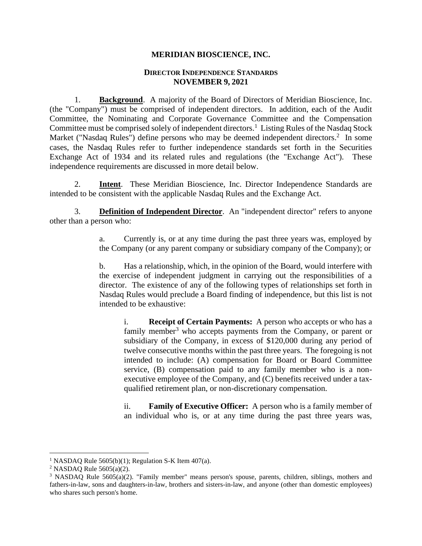## **MERIDIAN BIOSCIENCE, INC.**

## **DIRECTOR INDEPENDENCE STANDARDS NOVEMBER 9, 2021**

1. **Background**. A majority of the Board of Directors of Meridian Bioscience, Inc. (the "Company") must be comprised of independent directors. In addition, each of the Audit Committee, the Nominating and Corporate Governance Committee and the Compensation Committee must be comprised solely of independent directors. 1 Listing Rules of the Nasdaq Stock Market ("Nasdaq Rules") define persons who may be deemed independent directors.<sup>2</sup> In some cases, the Nasdaq Rules refer to further independence standards set forth in the Securities Exchange Act of 1934 and its related rules and regulations (the "Exchange Act"). These independence requirements are discussed in more detail below.

2. **Intent**. These Meridian Bioscience, Inc. Director Independence Standards are intended to be consistent with the applicable Nasdaq Rules and the Exchange Act.

3. **Definition of Independent Director**. An "independent director" refers to anyone other than a person who:

> a. Currently is, or at any time during the past three years was, employed by the Company (or any parent company or subsidiary company of the Company); or

> b. Has a relationship, which, in the opinion of the Board, would interfere with the exercise of independent judgment in carrying out the responsibilities of a director. The existence of any of the following types of relationships set forth in Nasdaq Rules would preclude a Board finding of independence, but this list is not intended to be exhaustive:

i. **Receipt of Certain Payments:** A person who accepts or who has a family member<sup>3</sup> who accepts payments from the Company, or parent or subsidiary of the Company, in excess of \$120,000 during any period of twelve consecutive months within the past three years. The foregoing is not intended to include: (A) compensation for Board or Board Committee service, (B) compensation paid to any family member who is a nonexecutive employee of the Company, and (C) benefits received under a taxqualified retirement plan, or non-discretionary compensation.

ii. **Family of Executive Officer:** A person who is a family member of an individual who is, or at any time during the past three years was,

<sup>&</sup>lt;sup>1</sup> NASDAQ Rule 5605(b)(1); Regulation S-K Item 407(a).

<sup>&</sup>lt;sup>2</sup> NASDAO Rule  $5605(a)(2)$ .

<sup>3</sup> NASDAQ Rule 5605(a)(2). "Family member" means person's spouse, parents, children, siblings, mothers and fathers-in-law, sons and daughters-in-law, brothers and sisters-in-law, and anyone (other than domestic employees) who shares such person's home.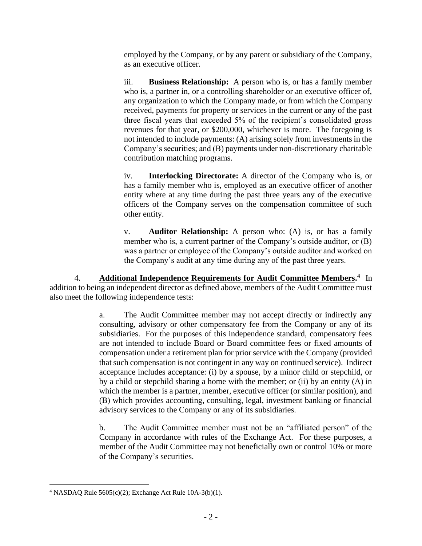employed by the Company, or by any parent or subsidiary of the Company, as an executive officer.

iii. **Business Relationship:** A person who is, or has a family member who is, a partner in, or a controlling shareholder or an executive officer of, any organization to which the Company made, or from which the Company received, payments for property or services in the current or any of the past three fiscal years that exceeded 5% of the recipient's consolidated gross revenues for that year, or \$200,000, whichever is more. The foregoing is not intended to include payments: (A) arising solely from investments in the Company's securities; and (B) payments under non-discretionary charitable contribution matching programs.

iv. **Interlocking Directorate:** A director of the Company who is, or has a family member who is, employed as an executive officer of another entity where at any time during the past three years any of the executive officers of the Company serves on the compensation committee of such other entity.

v. **Auditor Relationship:** A person who: (A) is, or has a family member who is, a current partner of the Company's outside auditor, or (B) was a partner or employee of the Company's outside auditor and worked on the Company's audit at any time during any of the past three years.

4. **Additional Independence Requirements for Audit Committee Members. 4** In addition to being an independent director as defined above, members of the Audit Committee must also meet the following independence tests:

> a. The Audit Committee member may not accept directly or indirectly any consulting, advisory or other compensatory fee from the Company or any of its subsidiaries. For the purposes of this independence standard, compensatory fees are not intended to include Board or Board committee fees or fixed amounts of compensation under a retirement plan for prior service with the Company (provided that such compensation is not contingent in any way on continued service). Indirect acceptance includes acceptance: (i) by a spouse, by a minor child or stepchild, or by a child or stepchild sharing a home with the member; or (ii) by an entity (A) in which the member is a partner, member, executive officer (or similar position), and (B) which provides accounting, consulting, legal, investment banking or financial advisory services to the Company or any of its subsidiaries.

> b. The Audit Committee member must not be an "affiliated person" of the Company in accordance with rules of the Exchange Act. For these purposes, a member of the Audit Committee may not beneficially own or control 10% or more of the Company's securities.

 $4$  NASDAQ Rule 5605(c)(2); Exchange Act Rule 10A-3(b)(1).